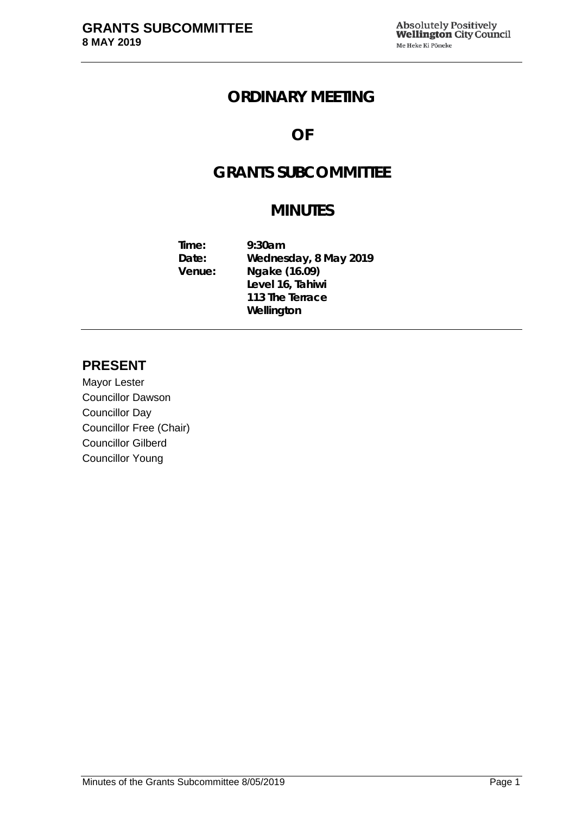## **ORDINARY MEETING**

# **OF**

# **GRANTS SUBCOMMITTEE**

# **MINUTES**

**Time: 9:30am Date: Wednesday, 8 May 2019 Venue: Ngake (16.09) Level 16, Tahiwi 113 The Terrace Wellington**

## **PRESENT**

Mayor Lester Councillor Dawson Councillor Day Councillor Free (Chair) Councillor Gilberd Councillor Young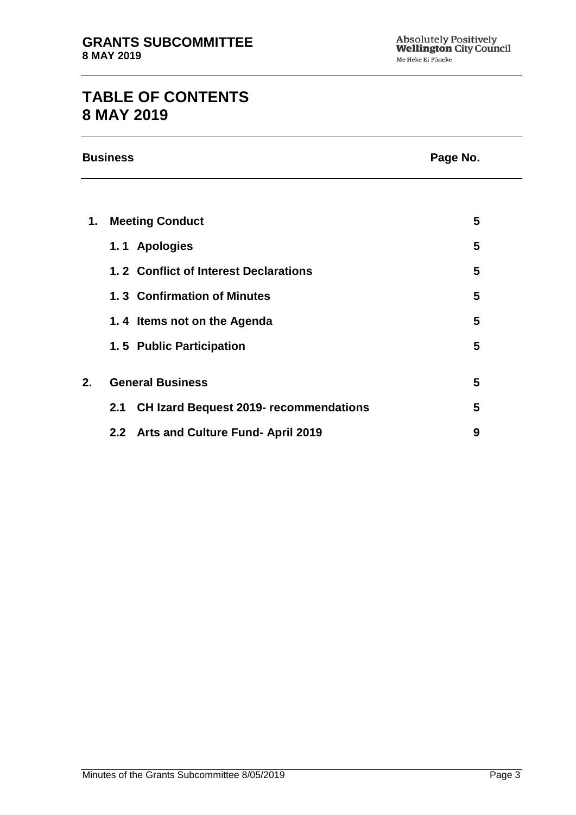# **TABLE OF CONTENTS 8 MAY 2019**

|    | <b>Business</b>                                      | Page No. |  |
|----|------------------------------------------------------|----------|--|
|    |                                                      |          |  |
| 1. | <b>Meeting Conduct</b>                               | 5        |  |
|    | 1.1 Apologies                                        | 5        |  |
|    | 1.2 Conflict of Interest Declarations                | 5        |  |
|    | 1.3 Confirmation of Minutes                          | 5        |  |
|    | 1.4 Items not on the Agenda                          | 5        |  |
|    | 1.5 Public Participation                             | 5        |  |
| 2. | <b>General Business</b>                              | 5        |  |
|    | <b>CH Izard Bequest 2019- recommendations</b><br>2.1 | 5        |  |
|    | 2.2 Arts and Culture Fund- April 2019                | 9        |  |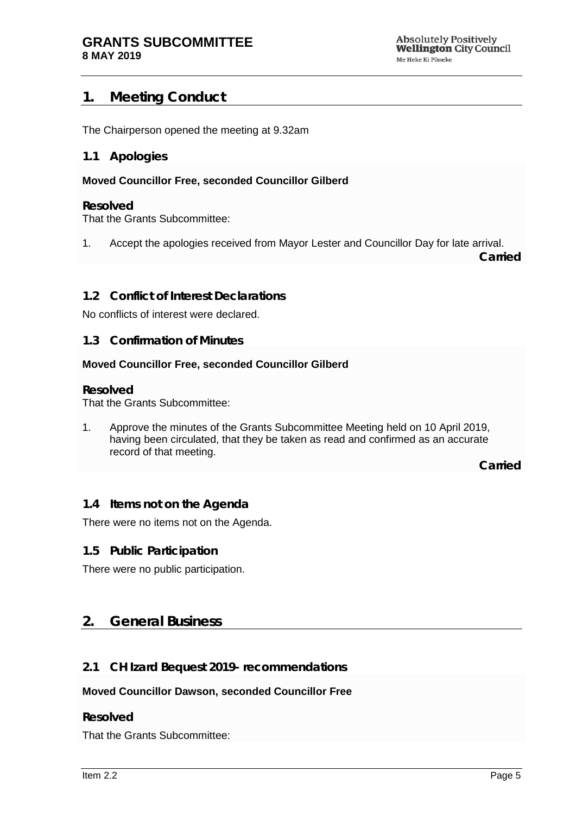## <span id="page-4-0"></span>**1. Meeting Conduct**

The Chairperson opened the meeting at 9.32am

#### <span id="page-4-1"></span>**1.1 Apologies**

#### **Moved Councillor Free, seconded Councillor Gilberd**

#### **Resolved**

That the Grants Subcommittee:

1. Accept the apologies received from Mayor Lester and Councillor Day for late arrival.

**Carried**

#### <span id="page-4-2"></span>**1.2 Conflict of Interest Declarations**

No conflicts of interest were declared.

#### <span id="page-4-3"></span>**1.3 Confirmation of Minutes**

#### **Moved Councillor Free, seconded Councillor Gilberd**

#### **Resolved**

That the Grants Subcommittee:

1. Approve the minutes of the Grants Subcommittee Meeting held on 10 April 2019, having been circulated, that they be taken as read and confirmed as an accurate record of that meeting.

**Carried**

#### <span id="page-4-4"></span>**1.4 Items not on the Agenda**

There were no items not on the Agenda.

#### **1.5 Public Participation**

There were no public participation.

#### <span id="page-4-5"></span>**2. General Business**

#### <span id="page-4-6"></span>**2.1 CH Izard Bequest 2019- recommendations**

#### **Moved Councillor Dawson, seconded Councillor Free**

#### **Resolved**

That the Grants Subcommittee: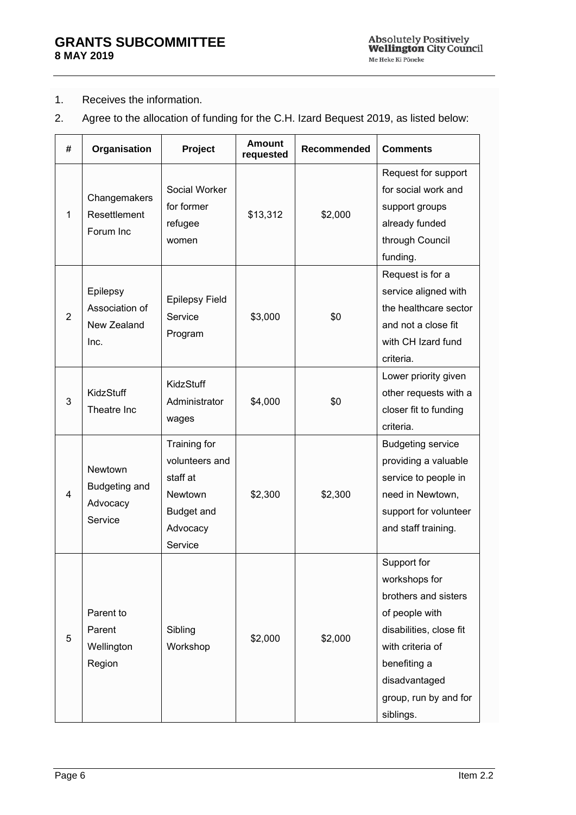#### 1. Receives the information.

2. Agree to the allocation of funding for the C.H. Izard Bequest 2019, as listed below:

| # | Organisation                                      | Project                                                                                    | <b>Amount</b><br>requested | Recommended | <b>Comments</b>                                                                                                                                                                              |
|---|---------------------------------------------------|--------------------------------------------------------------------------------------------|----------------------------|-------------|----------------------------------------------------------------------------------------------------------------------------------------------------------------------------------------------|
| 1 | Changemakers<br>Resettlement<br>Forum Inc         | Social Worker<br>for former<br>refugee<br>women                                            | \$13,312                   | \$2,000     | Request for support<br>for social work and<br>support groups<br>already funded<br>through Council<br>funding.                                                                                |
| 2 | Epilepsy<br>Association of<br>New Zealand<br>Inc. | Epilepsy Field<br>Service<br>Program                                                       | \$3,000                    | \$0         | Request is for a<br>service aligned with<br>the healthcare sector<br>and not a close fit<br>with CH Izard fund<br>criteria.                                                                  |
| 3 | KidzStuff<br>Theatre Inc                          | KidzStuff<br>Administrator<br>wages                                                        | \$4,000                    | \$0         | Lower priority given<br>other requests with a<br>closer fit to funding<br>criteria.                                                                                                          |
| 4 | Newtown<br>Budgeting and<br>Advocacy<br>Service   | Training for<br>volunteers and<br>staff at<br>Newtown<br>Budget and<br>Advocacy<br>Service | \$2,300                    | \$2,300     | <b>Budgeting service</b><br>providing a valuable<br>service to people in<br>need in Newtown,<br>support for volunteer<br>and staff training.                                                 |
| 5 | Parent to<br>Parent<br>Wellington<br>Region       | Sibling<br>Workshop                                                                        | \$2,000                    | \$2,000     | Support for<br>workshops for<br>brothers and sisters<br>of people with<br>disabilities, close fit<br>with criteria of<br>benefiting a<br>disadvantaged<br>group, run by and for<br>siblings. |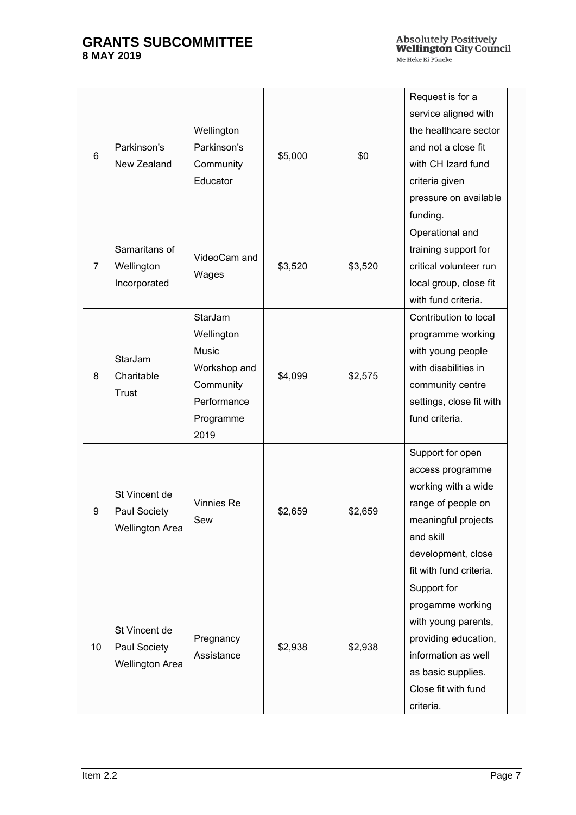| 6              | Parkinson's<br>New Zealand                              | Wellington<br>Parkinson's<br>Community<br>Educator                                              | \$5,000 | \$0     | Request is for a<br>service aligned with<br>the healthcare sector<br>and not a close fit<br>with CH Izard fund<br>criteria given<br>pressure on available<br>funding.  |
|----------------|---------------------------------------------------------|-------------------------------------------------------------------------------------------------|---------|---------|------------------------------------------------------------------------------------------------------------------------------------------------------------------------|
| $\overline{7}$ | Samaritans of<br>Wellington<br>Incorporated             | VideoCam and<br>Wages                                                                           | \$3,520 | \$3,520 | Operational and<br>training support for<br>critical volunteer run<br>local group, close fit<br>with fund criteria.                                                     |
| 8              | StarJam<br>Charitable<br>Trust                          | StarJam<br>Wellington<br>Music<br>Workshop and<br>Community<br>Performance<br>Programme<br>2019 | \$4,099 | \$2,575 | Contribution to local<br>programme working<br>with young people<br>with disabilities in<br>community centre<br>settings, close fit with<br>fund criteria.              |
| 9              | St Vincent de<br>Paul Society<br><b>Wellington Area</b> | Vinnies Re<br>Sew                                                                               | \$2,659 | \$2,659 | Support for open<br>access programme<br>working with a wide<br>range of people on<br>meaningful projects<br>and skill<br>development, close<br>fit with fund criteria. |
| 10             | St Vincent de<br>Paul Society<br><b>Wellington Area</b> | Pregnancy<br>Assistance                                                                         | \$2,938 | \$2,938 | Support for<br>progamme working<br>with young parents,<br>providing education,<br>information as well<br>as basic supplies.<br>Close fit with fund<br>criteria.        |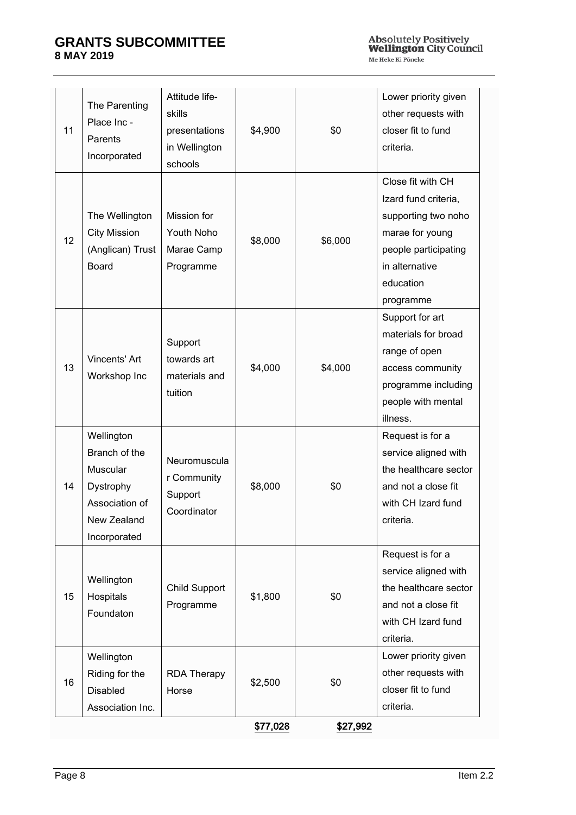| 11 | The Parenting<br>Place Inc -<br>Parents<br>Incorporated                                               | Attitude life-<br>skills<br>presentations<br>in Wellington<br>schools | \$4,900  | \$0      | Lower priority given<br>other requests with<br>closer fit to fund<br>criteria.                                                                          |
|----|-------------------------------------------------------------------------------------------------------|-----------------------------------------------------------------------|----------|----------|---------------------------------------------------------------------------------------------------------------------------------------------------------|
| 12 | The Wellington<br><b>City Mission</b><br>(Anglican) Trust<br><b>Board</b>                             | Mission for<br>Youth Noho<br>Marae Camp<br>Programme                  | \$8,000  | \$6,000  | Close fit with CH<br>Izard fund criteria,<br>supporting two noho<br>marae for young<br>people participating<br>in alternative<br>education<br>programme |
| 13 | Vincents' Art<br>Workshop Inc                                                                         | Support<br>towards art<br>materials and<br>tuition                    | \$4,000  | \$4,000  | Support for art<br>materials for broad<br>range of open<br>access community<br>programme including<br>people with mental<br>illness.                    |
| 14 | Wellington<br>Branch of the<br>Muscular<br>Dystrophy<br>Association of<br>New Zealand<br>Incorporated | Neuromuscula<br>r Community<br>Support<br>Coordinator                 | \$8,000  | \$0      | Request is for a<br>service aligned with<br>the healthcare sector<br>and not a close fit<br>with CH Izard fund<br>criteria.                             |
| 15 | Wellington<br>Hospitals<br>Foundaton                                                                  | <b>Child Support</b><br>Programme                                     | \$1,800  | \$0      | Request is for a<br>service aligned with<br>the healthcare sector<br>and not a close fit<br>with CH Izard fund<br>criteria.                             |
| 16 | Wellington<br>Riding for the<br>Disabled<br>Association Inc.                                          | <b>RDA Therapy</b><br>Horse                                           | \$2,500  | \$0      | Lower priority given<br>other requests with<br>closer fit to fund<br>criteria.                                                                          |
|    |                                                                                                       |                                                                       | \$77,028 | \$27,992 |                                                                                                                                                         |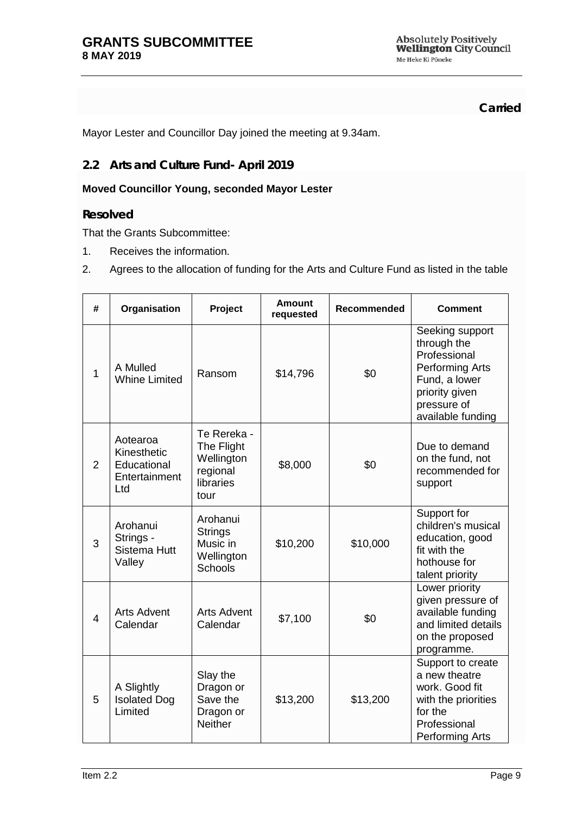**Carried**

Mayor Lester and Councillor Day joined the meeting at 9.34am.

## <span id="page-8-0"></span>**2.2 Arts and Culture Fund- April 2019**

#### **Moved Councillor Young, seconded Mayor Lester**

#### **Resolved**

That the Grants Subcommittee:

- 1. Receives the information.
- 2. Agrees to the allocation of funding for the Arts and Culture Fund as listed in the table

| #              | Organisation                                                   | Project                                                                  | <b>Amount</b><br>requested | <b>Recommended</b> | <b>Comment</b>                                                                                                                                  |
|----------------|----------------------------------------------------------------|--------------------------------------------------------------------------|----------------------------|--------------------|-------------------------------------------------------------------------------------------------------------------------------------------------|
| 1              | A Mulled<br><b>Whine Limited</b>                               | Ransom                                                                   | \$14,796                   | \$0                | Seeking support<br>through the<br>Professional<br><b>Performing Arts</b><br>Fund, a lower<br>priority given<br>pressure of<br>available funding |
| 2              | Aotearoa<br>Kinesthetic<br>Educational<br>Entertainment<br>Ltd | Te Rereka -<br>The Flight<br>Wellington<br>regional<br>libraries<br>tour | \$8,000                    | \$0                | Due to demand<br>on the fund, not<br>recommended for<br>support                                                                                 |
| 3              | Arohanui<br>Strings -<br><b>Sistema Hutt</b><br>Valley         | Arohanui<br><b>Strings</b><br>Music in<br>Wellington<br><b>Schools</b>   | \$10,200                   | \$10,000           | Support for<br>children's musical<br>education, good<br>fit with the<br>hothouse for<br>talent priority                                         |
| $\overline{4}$ | <b>Arts Advent</b><br>Calendar                                 | Arts Advent<br>Calendar                                                  | \$7,100                    | \$0                | Lower priority<br>given pressure of<br>available funding<br>and limited details<br>on the proposed<br>programme.                                |
| 5              | A Slightly<br><b>Isolated Dog</b><br>Limited                   | Slay the<br>Dragon or<br>Save the<br>Dragon or<br><b>Neither</b>         | \$13,200                   | \$13,200           | Support to create<br>a new theatre<br>work. Good fit<br>with the priorities<br>for the<br>Professional<br><b>Performing Arts</b>                |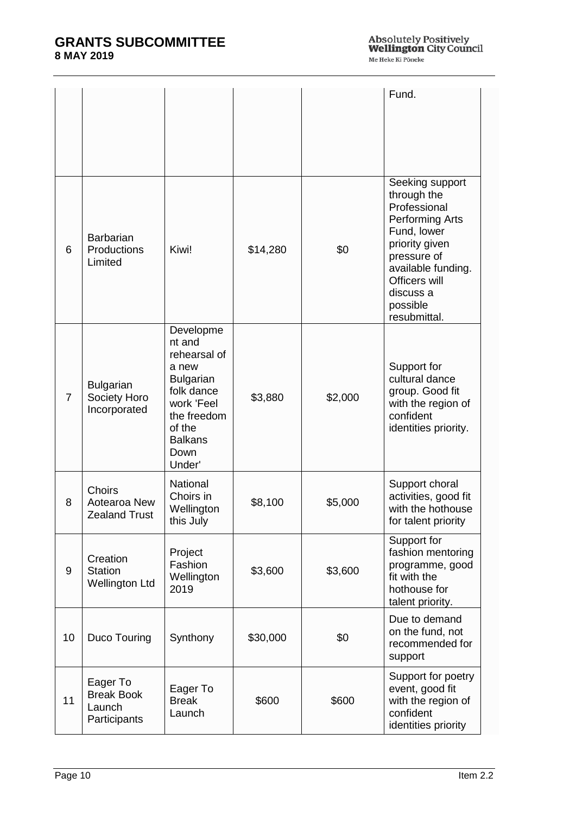|                |                                                         |                                                                                                                                                           |          |         | Fund.                                                                                                                                                                                                    |
|----------------|---------------------------------------------------------|-----------------------------------------------------------------------------------------------------------------------------------------------------------|----------|---------|----------------------------------------------------------------------------------------------------------------------------------------------------------------------------------------------------------|
| 6              | Barbarian<br>Productions<br>Limited                     | Kiwi!                                                                                                                                                     | \$14,280 | \$0     | Seeking support<br>through the<br>Professional<br><b>Performing Arts</b><br>Fund, lower<br>priority given<br>pressure of<br>available funding.<br>Officers will<br>discuss a<br>possible<br>resubmittal. |
| $\overline{7}$ | <b>Bulgarian</b><br>Society Horo<br>Incorporated        | Developme<br>nt and<br>rehearsal of<br>a new<br><b>Bulgarian</b><br>folk dance<br>work 'Feel<br>the freedom<br>of the<br><b>Balkans</b><br>Down<br>Under' | \$3,880  | \$2,000 | Support for<br>cultural dance<br>group. Good fit<br>with the region of<br>confident<br>identities priority.                                                                                              |
| 8              | <b>Choirs</b><br>Aotearoa New<br><b>Zealand Trust</b>   | National<br>Choirs in<br>Wellington<br>this July                                                                                                          | \$8,100  | \$5,000 | Support choral<br>activities, good fit<br>with the hothouse<br>for talent priority                                                                                                                       |
| 9              | Creation<br><b>Station</b><br><b>Wellington Ltd</b>     | Project<br>Fashion<br>Wellington<br>2019                                                                                                                  | \$3,600  | \$3,600 | Support for<br>fashion mentoring<br>programme, good<br>fit with the<br>hothouse for<br>talent priority.                                                                                                  |
| 10             | Duco Touring                                            | Synthony                                                                                                                                                  | \$30,000 | \$0     | Due to demand<br>on the fund, not<br>recommended for<br>support                                                                                                                                          |
| 11             | Eager To<br><b>Break Book</b><br>Launch<br>Participants | Eager To<br><b>Break</b><br>Launch                                                                                                                        | \$600    | \$600   | Support for poetry<br>event, good fit<br>with the region of<br>confident<br>identities priority                                                                                                          |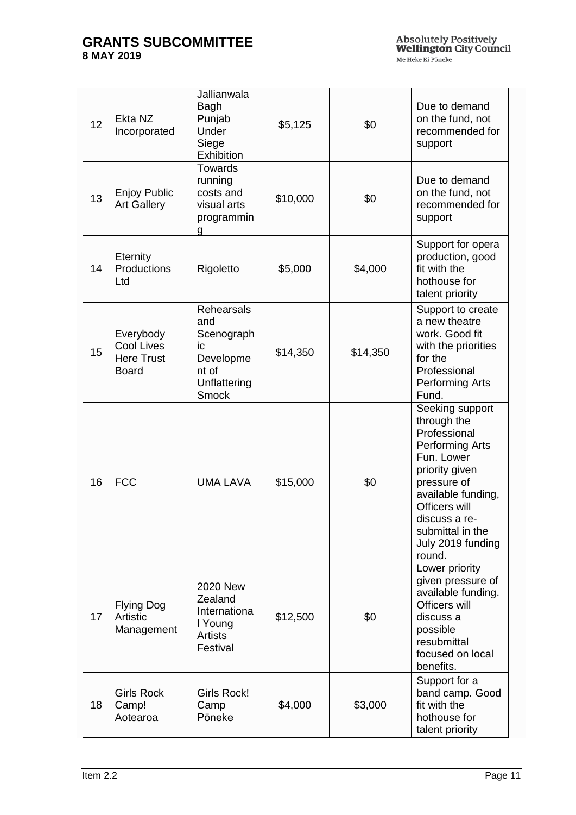| 12 | Ekta NZ<br>Incorporated                                             | Jallianwala<br>Bagh<br>Punjab<br>Under<br>Siege<br><b>Exhibition</b>                               | \$5,125  | \$0      | Due to demand<br>on the fund, not<br>recommended for<br>support                                                                                                                                                                    |
|----|---------------------------------------------------------------------|----------------------------------------------------------------------------------------------------|----------|----------|------------------------------------------------------------------------------------------------------------------------------------------------------------------------------------------------------------------------------------|
| 13 | <b>Enjoy Public</b><br><b>Art Gallery</b>                           | <b>Towards</b><br>running<br>costs and<br>visual arts<br>programmin<br>g                           | \$10,000 | \$0      | Due to demand<br>on the fund, not<br>recommended for<br>support                                                                                                                                                                    |
| 14 | <b>Eternity</b><br>Productions<br>Ltd                               | Rigoletto                                                                                          | \$5,000  | \$4,000  | Support for opera<br>production, good<br>fit with the<br>hothouse for<br>talent priority                                                                                                                                           |
| 15 | Everybody<br><b>Cool Lives</b><br><b>Here Trust</b><br><b>Board</b> | <b>Rehearsals</b><br>and<br>Scenograph<br>ic<br>Developme<br>nt of<br>Unflattering<br><b>Smock</b> | \$14,350 | \$14,350 | Support to create<br>a new theatre<br>work. Good fit<br>with the priorities<br>for the<br>Professional<br><b>Performing Arts</b><br>Fund.                                                                                          |
| 16 | <b>FCC</b>                                                          | <b>UMA LAVA</b>                                                                                    | \$15,000 | \$0      | Seeking support<br>through the<br>Professional<br><b>Performing Arts</b><br>Fun. Lower<br>priority given<br>pressure of<br>available funding,<br>Officers will<br>discuss a re-<br>submittal in the<br>July 2019 funding<br>round. |
| 17 | <b>Flying Dog</b><br>Artistic<br>Management                         | 2020 New<br>Zealand<br>Internationa<br>I Young<br><b>Artists</b><br>Festival                       | \$12,500 | \$0      | Lower priority<br>given pressure of<br>available funding.<br>Officers will<br>discuss a<br>possible<br>resubmittal<br>focused on local<br>benefits.                                                                                |
| 18 | <b>Girls Rock</b><br>Camp!<br>Aotearoa                              | Girls Rock!<br>Camp<br>Pōneke                                                                      | \$4,000  | \$3,000  | Support for a<br>band camp. Good<br>fit with the<br>hothouse for<br>talent priority                                                                                                                                                |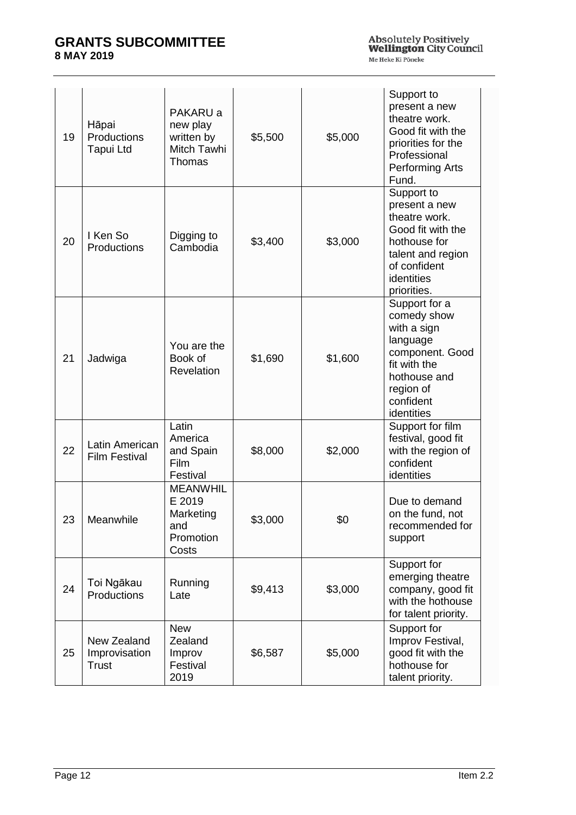| 19 | Hāpai<br>Productions<br><b>Tapui Ltd</b>     | PAKARU a<br>new play<br>written by<br>Mitch Tawhi<br>Thomas         | \$5,500 | \$5,000 | Support to<br>present a new<br>theatre work.<br>Good fit with the<br>priorities for the<br>Professional<br><b>Performing Arts</b><br>Fund.          |
|----|----------------------------------------------|---------------------------------------------------------------------|---------|---------|-----------------------------------------------------------------------------------------------------------------------------------------------------|
| 20 | I Ken So<br><b>Productions</b>               | Digging to<br>Cambodia                                              | \$3,400 | \$3,000 | Support to<br>present a new<br>theatre work.<br>Good fit with the<br>hothouse for<br>talent and region<br>of confident<br>identities<br>priorities. |
| 21 | Jadwiga                                      | You are the<br>Book of<br>Revelation                                | \$1,690 | \$1,600 | Support for a<br>comedy show<br>with a sign<br>language<br>component. Good<br>fit with the<br>hothouse and<br>region of<br>confident<br>identities  |
| 22 | Latin American<br><b>Film Festival</b>       | Latin<br>America<br>and Spain<br><b>Film</b><br>Festival            | \$8,000 | \$2,000 | Support for film<br>festival, good fit<br>with the region of<br>confident<br>identities                                                             |
| 23 | Meanwhile                                    | <b>MEANWHIL</b><br>E 2019<br>Marketing<br>and<br>Promotion<br>Costs | \$3,000 | \$0     | Due to demand<br>on the fund, not<br>recommended for<br>support                                                                                     |
| 24 | Toi Ngākau<br>Productions                    | Running<br>Late                                                     | \$9,413 | \$3,000 | Support for<br>emerging theatre<br>company, good fit<br>with the hothouse<br>for talent priority.                                                   |
| 25 | New Zealand<br>Improvisation<br><b>Trust</b> | <b>New</b><br>Zealand<br>Improv<br>Festival<br>2019                 | \$6,587 | \$5,000 | Support for<br>Improv Festival,<br>good fit with the<br>hothouse for<br>talent priority.                                                            |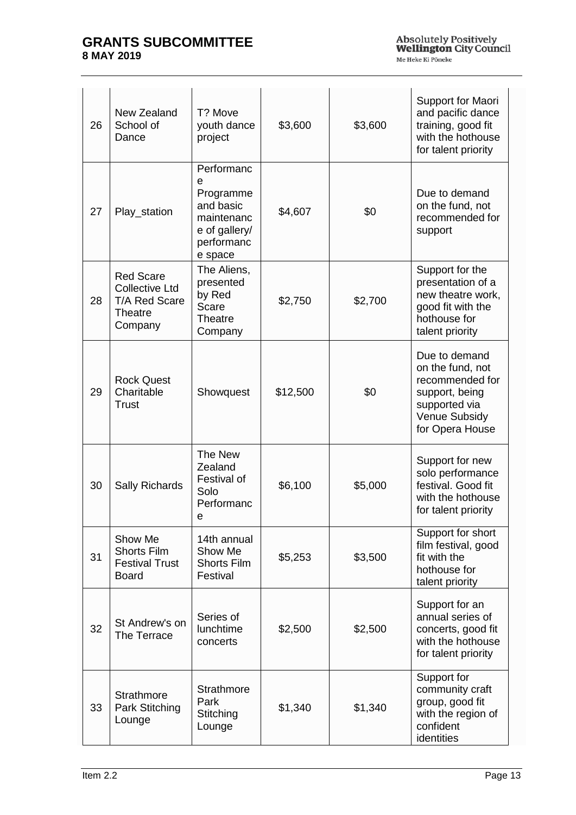| 26 | New Zealand<br>School of<br>Dance                                                       | T? Move<br>youth dance<br>project                                                                 | \$3,600  | \$3,600 | Support for Maori<br>and pacific dance<br>training, good fit<br>with the hothouse<br>for talent priority                    |
|----|-----------------------------------------------------------------------------------------|---------------------------------------------------------------------------------------------------|----------|---------|-----------------------------------------------------------------------------------------------------------------------------|
| 27 | Play_station                                                                            | Performanc<br>e<br>Programme<br>and basic<br>maintenanc<br>e of gallery/<br>performanc<br>e space | \$4,607  | \$0     | Due to demand<br>on the fund, not<br>recommended for<br>support                                                             |
| 28 | <b>Red Scare</b><br><b>Collective Ltd</b><br><b>T/A Red Scare</b><br>Theatre<br>Company | The Aliens,<br>presented<br>by Red<br><b>Scare</b><br>Theatre<br>Company                          | \$2,750  | \$2,700 | Support for the<br>presentation of a<br>new theatre work,<br>good fit with the<br>hothouse for<br>talent priority           |
| 29 | <b>Rock Quest</b><br>Charitable<br>Trust                                                | Showquest                                                                                         | \$12,500 | \$0     | Due to demand<br>on the fund, not<br>recommended for<br>support, being<br>supported via<br>Venue Subsidy<br>for Opera House |
| 30 | Sally Richards                                                                          | The New<br>Zealand<br>Festival of<br>Solo<br>Performanc<br>e                                      | \$6,100  | \$5,000 | Support for new<br>solo performance<br>festival. Good fit<br>with the hothouse<br>for talent priority                       |
| 31 | Show Me<br><b>Shorts Film</b><br><b>Festival Trust</b><br><b>Board</b>                  | 14th annual<br>Show Me<br><b>Shorts Film</b><br>Festival                                          | \$5,253  | \$3,500 | Support for short<br>film festival, good<br>fit with the<br>hothouse for<br>talent priority                                 |
| 32 | St Andrew's on<br>The Terrace                                                           | Series of<br>lunchtime<br>concerts                                                                | \$2,500  | \$2,500 | Support for an<br>annual series of<br>concerts, good fit<br>with the hothouse<br>for talent priority                        |
| 33 | <b>Strathmore</b><br>Park Stitching<br>Lounge                                           | <b>Strathmore</b><br>Park<br>Stitching<br>Lounge                                                  | \$1,340  | \$1,340 | Support for<br>community craft<br>group, good fit<br>with the region of<br>confident<br>identities                          |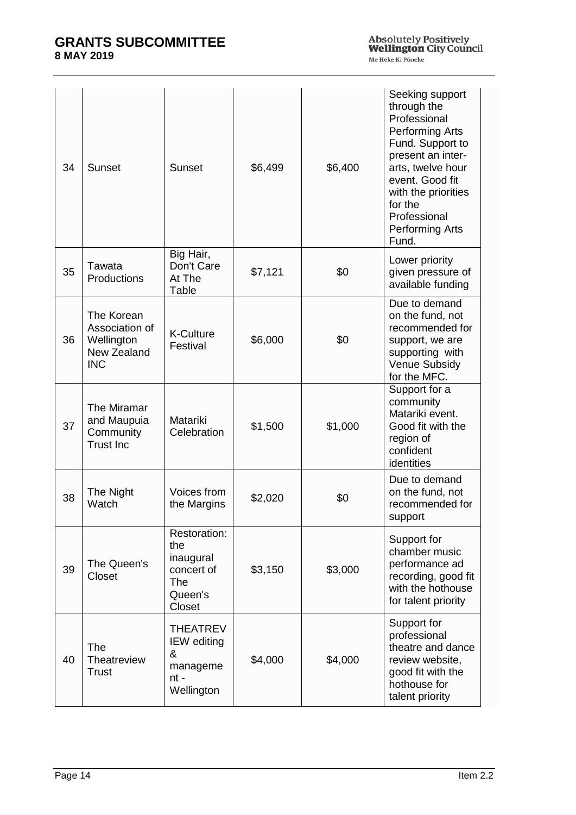| 34 | Sunset                                                                  | Sunset                                                                         | \$6,499 | \$6,400 | Seeking support<br>through the<br>Professional<br><b>Performing Arts</b><br>Fund. Support to<br>present an inter-<br>arts, twelve hour<br>event. Good fit<br>with the priorities<br>for the<br>Professional<br><b>Performing Arts</b><br>Fund. |
|----|-------------------------------------------------------------------------|--------------------------------------------------------------------------------|---------|---------|------------------------------------------------------------------------------------------------------------------------------------------------------------------------------------------------------------------------------------------------|
| 35 | Tawata<br>Productions                                                   | Big Hair,<br>Don't Care<br>At The<br>Table                                     | \$7,121 | \$0     | Lower priority<br>given pressure of<br>available funding                                                                                                                                                                                       |
| 36 | The Korean<br>Association of<br>Wellington<br>New Zealand<br><b>INC</b> | <b>K-Culture</b><br>Festival                                                   | \$6,000 | \$0     | Due to demand<br>on the fund, not<br>recommended for<br>support, we are<br>supporting with<br>Venue Subsidy<br>for the MFC.                                                                                                                    |
| 37 | The Miramar<br>and Maupuia<br>Community<br><b>Trust Inc</b>             | Matariki<br>Celebration                                                        | \$1,500 | \$1,000 | Support for a<br>community<br>Matariki event.<br>Good fit with the<br>region of<br>confident<br>identities                                                                                                                                     |
| 38 | The Night<br>Watch                                                      | Voices from<br>the Margins                                                     | \$2,020 | \$0     | Due to demand<br>on the fund, not<br>recommended for<br>support                                                                                                                                                                                |
| 39 | The Queen's<br>Closet                                                   | Restoration:<br>the<br>inaugural<br>concert of<br>The<br>Queen's<br>Closet     | \$3,150 | \$3,000 | Support for<br>chamber music<br>performance ad<br>recording, good fit<br>with the hothouse<br>for talent priority                                                                                                                              |
| 40 | <b>The</b><br>Theatreview<br><b>Trust</b>                               | <b>THEATREV</b><br><b>IEW</b> editing<br>&<br>manageme<br>$nt -$<br>Wellington | \$4,000 | \$4,000 | Support for<br>professional<br>theatre and dance<br>review website,<br>good fit with the<br>hothouse for<br>talent priority                                                                                                                    |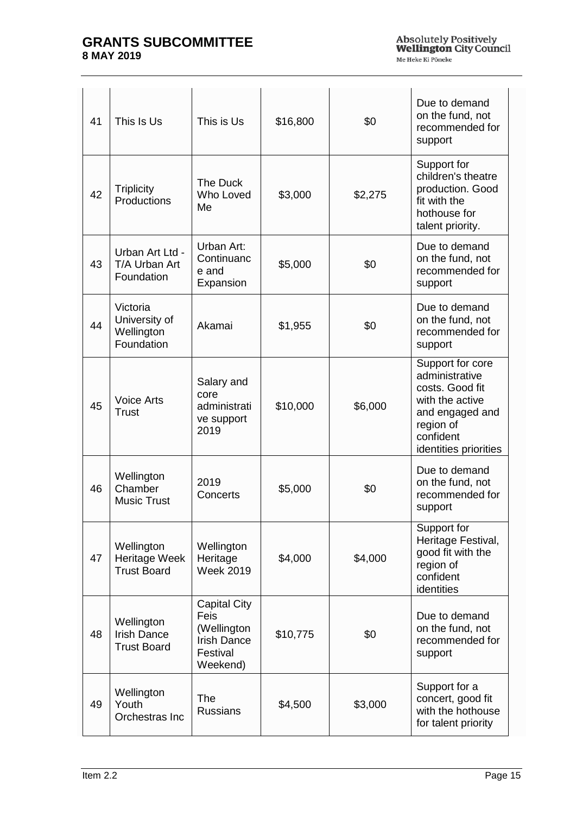| 41 | This Is Us                                             | This is Us                                                                               | \$16,800 | \$0     | Due to demand<br>on the fund, not<br>recommended for<br>support                                                                                |
|----|--------------------------------------------------------|------------------------------------------------------------------------------------------|----------|---------|------------------------------------------------------------------------------------------------------------------------------------------------|
| 42 | <b>Triplicity</b><br>Productions                       | The Duck<br>Who Loved<br>Me                                                              | \$3,000  | \$2,275 | Support for<br>children's theatre<br>production. Good<br>fit with the<br>hothouse for<br>talent priority.                                      |
| 43 | Urban Art Ltd -<br>T/A Urban Art<br>Foundation         | Urban Art:<br>Continuanc<br>e and<br>Expansion                                           | \$5,000  | \$0     | Due to demand<br>on the fund, not<br>recommended for<br>support                                                                                |
| 44 | Victoria<br>University of<br>Wellington<br>Foundation  | Akamai                                                                                   | \$1,955  | \$0     | Due to demand<br>on the fund, not<br>recommended for<br>support                                                                                |
| 45 | <b>Voice Arts</b><br>Trust                             | Salary and<br>core<br>administrati<br>ve support<br>2019                                 | \$10,000 | \$6,000 | Support for core<br>administrative<br>costs. Good fit<br>with the active<br>and engaged and<br>region of<br>confident<br>identities priorities |
| 46 | Wellington<br>Chamber<br><b>Music Trust</b>            | 2019<br>Concerts                                                                         | \$5,000  | \$0     | Due to demand<br>on the fund, not<br>recommended for<br>support                                                                                |
| 47 | Wellington<br>Heritage Week<br><b>Trust Board</b>      | Wellington<br>Heritage<br><b>Week 2019</b>                                               | \$4,000  | \$4,000 | Support for<br>Heritage Festival,<br>good fit with the<br>region of<br>confident<br>identities                                                 |
| 48 | Wellington<br><b>Irish Dance</b><br><b>Trust Board</b> | <b>Capital City</b><br>Feis<br>(Wellington<br><b>Irish Dance</b><br>Festival<br>Weekend) | \$10,775 | \$0     | Due to demand<br>on the fund, not<br>recommended for<br>support                                                                                |
| 49 | Wellington<br>Youth<br>Orchestras Inc                  | The<br><b>Russians</b>                                                                   | \$4,500  | \$3,000 | Support for a<br>concert, good fit<br>with the hothouse<br>for talent priority                                                                 |